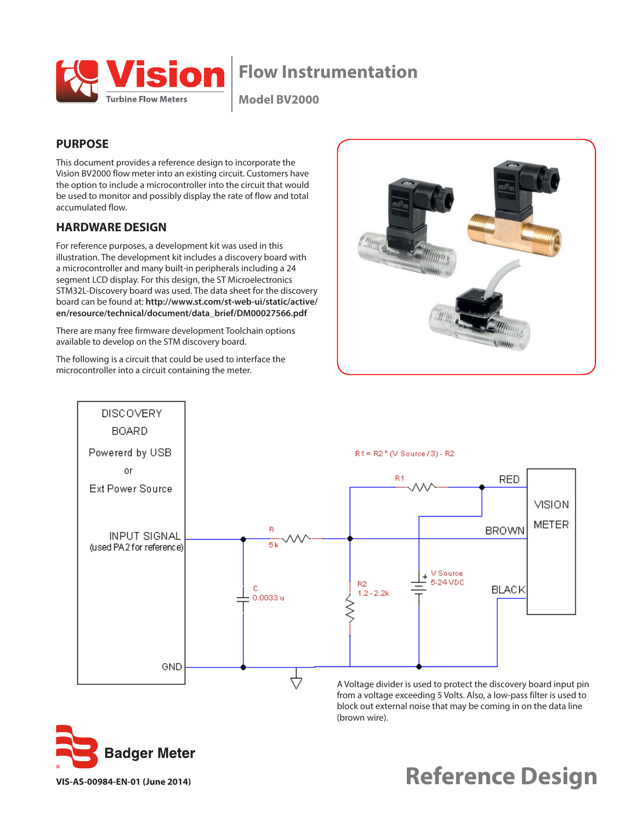

# **Flow Instrumentation**

**Model BV2000**

## **PURPOSE**

This document provides a reference design to incorporate the Vision BV2000 flow meter into an existing circuit. Customers have the option to include a microcontroller into the circuit that would be used to monitor and possibly display the rate of flow and total accumulated flow.

## **HARDWARE DESIGN**

For reference purposes, a development kit was used in this illustration. The development kit includes a discovery board with a microcontroller and many built-in peripherals including a 24 segment LCD display. For this design, the ST Microelectronics STM32L-Discovery board was used. The data sheet for the discovery board can be found at: **http://www.st.com/st-web-ui/static/active/ en/resource/technical/document/data\_brief/DM00027566.pdf**

There are many free firmware development Toolchain options available to develop on the STM discovery board.

The following is a circuit that could be used to interface the microcontroller into a circuit containing the meter.





A Voltage divider is used to protect the discovery board input pin from a voltage exceeding 5 Volts. Also, a low-pass filter is used to block out external noise that may be coming in on the data line (brown wire).



**Reference Design**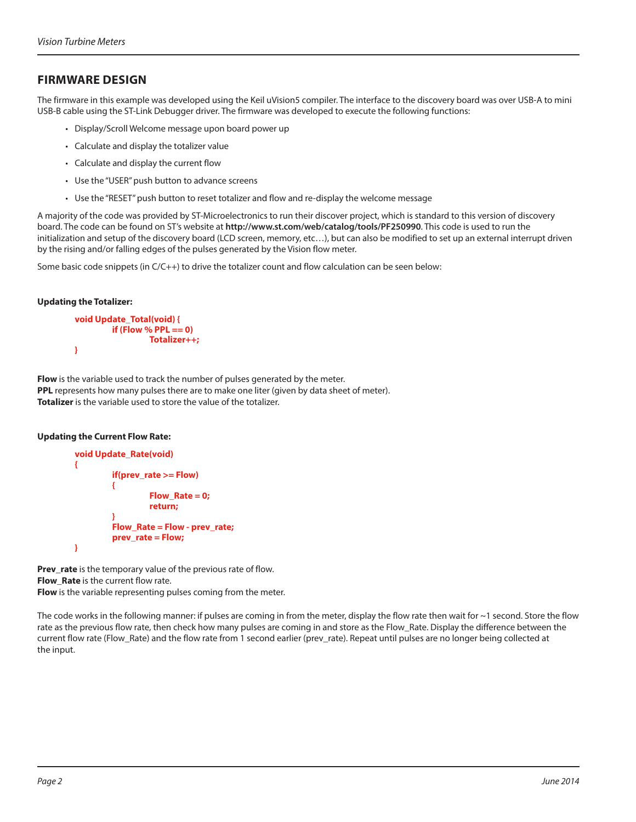## **FIRMWARE DESIGN**

The firmware in this example was developed using the Keil uVision5 compiler. The interface to the discovery board was over USB-A to mini USB-B cable using the ST-Link Debugger driver. The firmware was developed to execute the following functions:

- Display/Scroll Welcome message upon board power up
- Calculate and display the totalizer value
- Calculate and display the current flow
- Use the "USER" push button to advance screens
- Use the "RESET" push button to reset totalizer and flow and re-display the welcome message

A majority of the code was provided by ST-Microelectronics to run their discover project, which is standard to this version of discovery board. The code can be found on ST's website at **http://www.st.com/web/catalog/tools/PF250990**. This code is used to run the initialization and setup of the discovery board (LCD screen, memory, etc…), but can also be modified to set up an external interrupt driven by the rising and/or falling edges of the pulses generated by the Vision flow meter.

Some basic code snippets (in C/C++) to drive the totalizer count and flow calculation can be seen below:

#### **Updating the Totalizer:**

```
void Update_Total(void) {
         if (Flow % PPL == 0)
                    Totalizer++;
}
```
**Flow** is the variable used to track the number of pulses generated by the meter. **PPL** represents how many pulses there are to make one liter (given by data sheet of meter). **Totalizer** is the variable used to store the value of the totalizer.

#### **Updating the Current Flow Rate:**

```
void Update_Rate(void)
{
         if(prev_rate >= Flow)
         {
                   Flow_Rate = 0;
                   return;
         }
         Flow_Rate = Flow - prev_rate;
         prev_rate = Flow;
}
```
**Prev\_rate** is the temporary value of the previous rate of flow. **Flow Rate** is the current flow rate. **Flow** is the variable representing pulses coming from the meter.

The code works in the following manner: if pulses are coming in from the meter, display the flow rate then wait for ~1 second. Store the flow rate as the previous flow rate, then check how many pulses are coming in and store as the Flow\_Rate. Display the difference between the current flow rate (Flow\_Rate) and the flow rate from 1 second earlier (prev\_rate). Repeat until pulses are no longer being collected at the input.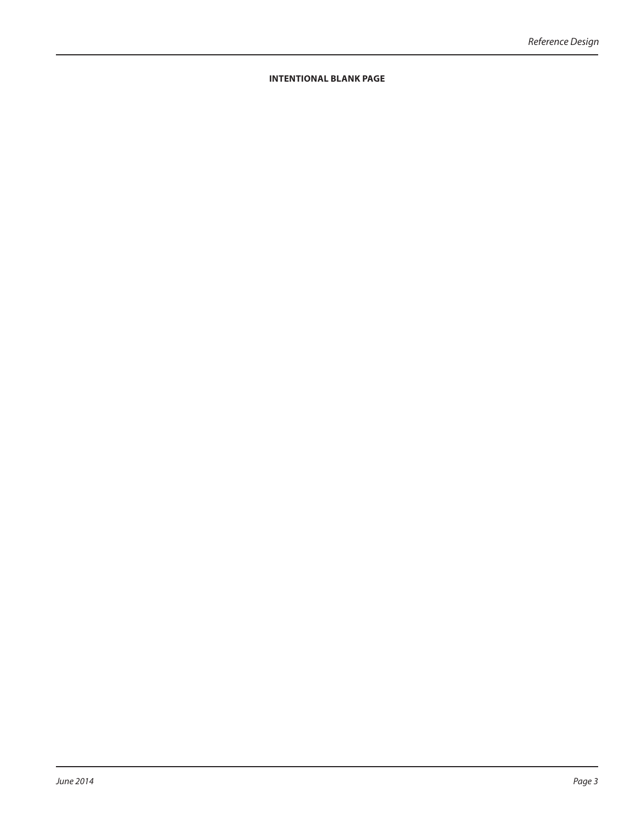### **INTENTIONAL BLANK PAGE**